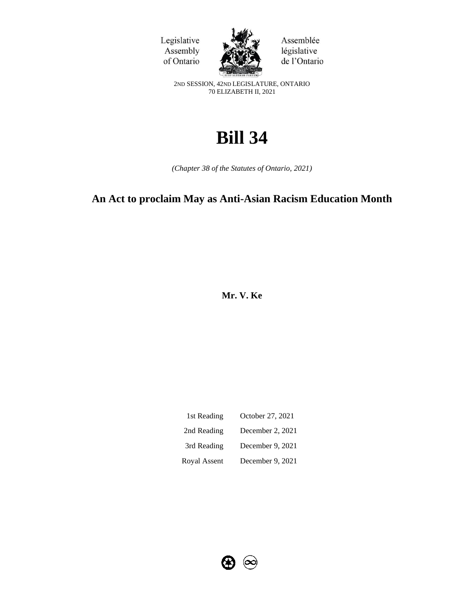



Assemblée législative de l'Ontario

2ND SESSION, 42ND LEGISLATURE, ONTARIO 70 ELIZABETH II, 2021

# **Bill 34**

*(Chapter 38 of the Statutes of Ontario, 2021)*

# **An Act to proclaim May as Anti-Asian Racism Education Month**

**Mr. V. Ke** 

| 1st Reading  | October 27, 2021 |
|--------------|------------------|
| 2nd Reading  | December 2, 2021 |
| 3rd Reading  | December 9, 2021 |
| Royal Assent | December 9, 2021 |